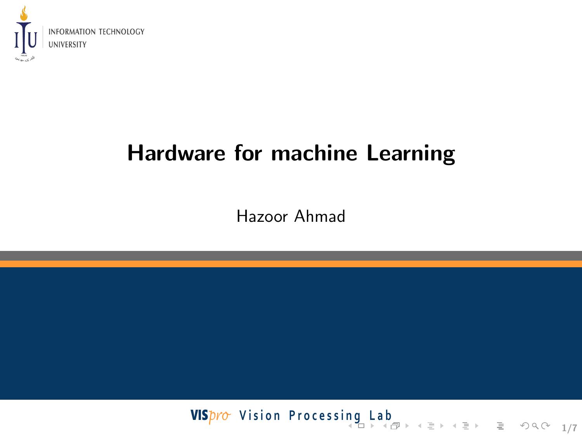<span id="page-0-0"></span>

## Hardware for machine Learning

Hazoor Ahmad

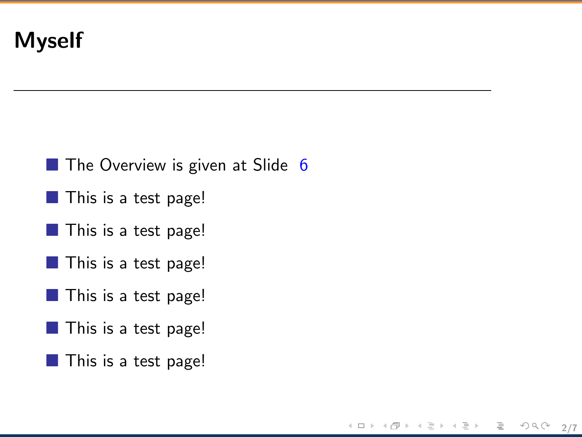#### <span id="page-1-0"></span>Myself

 $\blacksquare$  The Overview is given at Slide [6](#page-5-0)

< 토 > < 토 > 트로 - ⊙ Q (2 - 2/7

∢ ロ ▶ → (伊

- $\blacksquare$  This is a test page!
- $\blacksquare$  This is a test page!
- **This is a test page!**
- **This is a test page!**
- $\blacksquare$  This is a test page!
- **This is a test page!**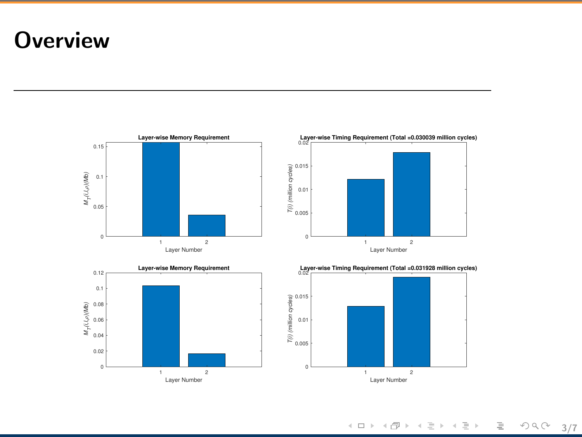### **Overview**



イロト イ部ト イミト イミトー 目  $OQ \qquad 3/7$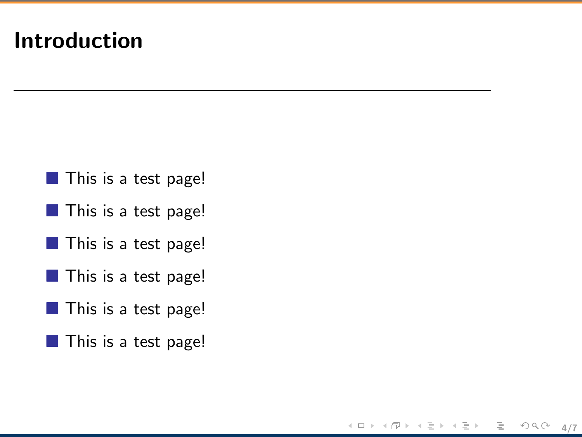#### Introduction

- **This is a test page!**
- **This is a test page!**
- **This is a test page!**
- **This is a test page!**
- **This is a test page!**
- **This is a test page!**

4/7

 $\circledcirc \circledcirc \circledcirc$ 

ミー

ミドィミドー

 $\leftarrow$   $\Box$   $\rightarrow$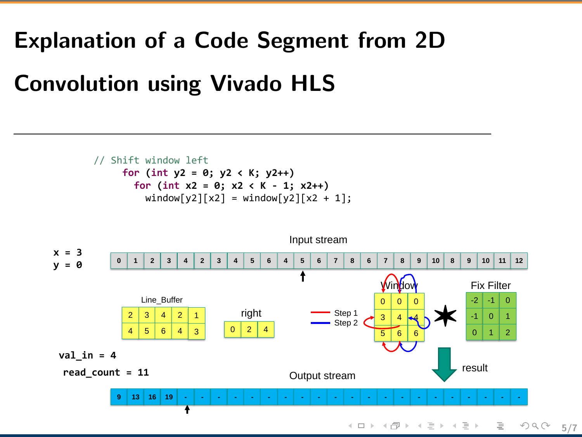### Explanation of a Code Segment from 2D

### Convolution using Vivado HLS

**Recurring Steps (Line 49-51)**

// Shift window left **for (int y2 = 0; y2 < K; y2++) for (int x2 = 0; x2 < K - 1; x2++)** window[y2][x2] = window[y2][x2 + 1];

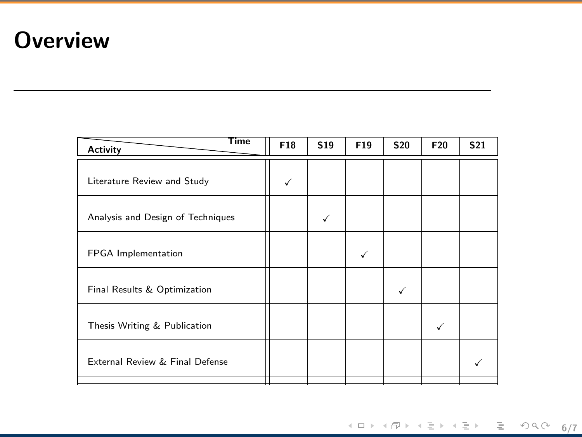### **Overview**

<span id="page-5-0"></span>

| F18 | S <sub>19</sub> | F19 | <b>S20</b> | F <sub>20</sub> | S <sub>21</sub> |
|-----|-----------------|-----|------------|-----------------|-----------------|
|     |                 |     |            |                 |                 |
|     |                 |     |            |                 |                 |
|     |                 | √   |            |                 |                 |
|     |                 |     |            |                 |                 |
|     |                 |     |            |                 |                 |
|     |                 |     |            |                 |                 |
|     |                 |     |            |                 |                 |

 $A\Box B\rightarrow A\Box B\rightarrow A\Xi B\rightarrow A\Xi B\rightarrow A\Xi B\rightarrow A\Box B\rightarrow A\Box B\rightarrow A\Box B\rightarrow A\Box B\rightarrow A\Box B\rightarrow A\Box B\rightarrow A\Box B\rightarrow A\Box B\rightarrow A\Box B\rightarrow A\Box B\rightarrow A\Box B\rightarrow A\Box B\rightarrow A\Box B\rightarrow A\Box B\rightarrow A\Box B\rightarrow A\Box B\rightarrow A\Box B\rightarrow A\Box B\rightarrow A\Box B\rightarrow A\Box B\rightarrow A\Box B\rightarrow A\Box B\rightarrow A\Box B\rightarrow A\Box B\rightarrow A\Box B\rightarrow A\Box B\rightarrow A\Box B\rightarrow A\Box B\rightarrow A\Box B\rightarrow A\Box B\rightarrow A\Box B\rightarrow A\Box B$